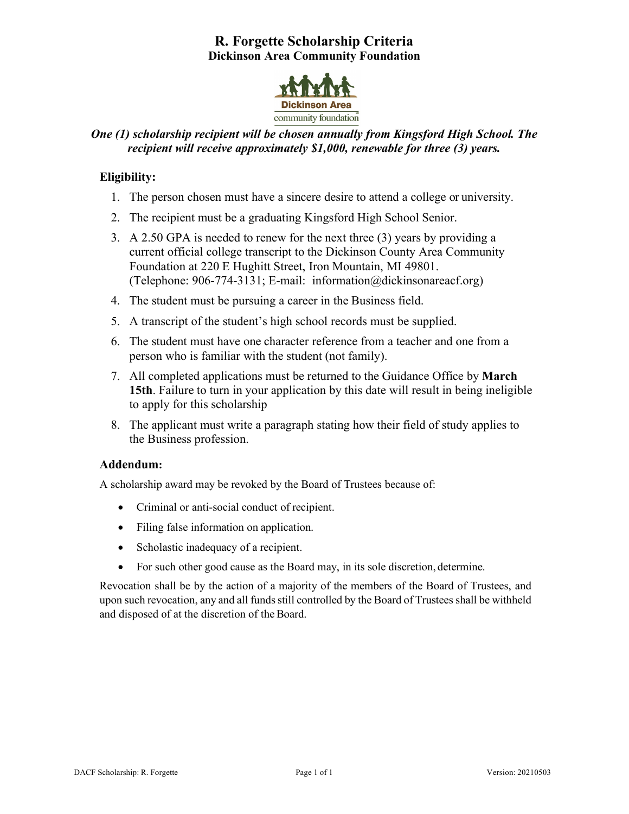# **R. Forgette Scholarship Criteria Dickinson Area Community Foundation**



## *One (1) scholarship recipient will be chosen annually from Kingsford High School. The recipient will receive approximately \$1,000, renewable for three (3) years.*

### **Eligibility:**

- 1. The person chosen must have a sincere desire to attend a college or university.
- 2. The recipient must be a graduating Kingsford High School Senior.
- 3. A 2.50 GPA is needed to renew for the next three (3) years by providing a current official college transcript to the Dickinson County Area Community Foundation at 220 E Hughitt Street, Iron Mountain, MI 49801. (Telephone: 906-774-3131; E-mail: information@dickinsonareacf.org)
- 4. The student must be pursuing a career in the Business field.
- 5. A transcript of the student's high school records must be supplied.
- 6. The student must have one character reference from a teacher and one from a person who is familiar with the student (not family).
- 7. All completed applications must be returned to the Guidance Office by **March 15th**. Failure to turn in your application by this date will result in being ineligible to apply for this scholarship
- 8. The applicant must write a paragraph stating how their field of study applies to the Business profession.

#### **Addendum:**

A scholarship award may be revoked by the Board of Trustees because of:

- Criminal or anti-social conduct of recipient.
- Filing false information on application.
- Scholastic inadequacy of a recipient.
- For such other good cause as the Board may, in its sole discretion, determine.

Revocation shall be by the action of a majority of the members of the Board of Trustees, and upon such revocation, any and all funds still controlled by the Board of Trustees shall be withheld and disposed of at the discretion of the Board.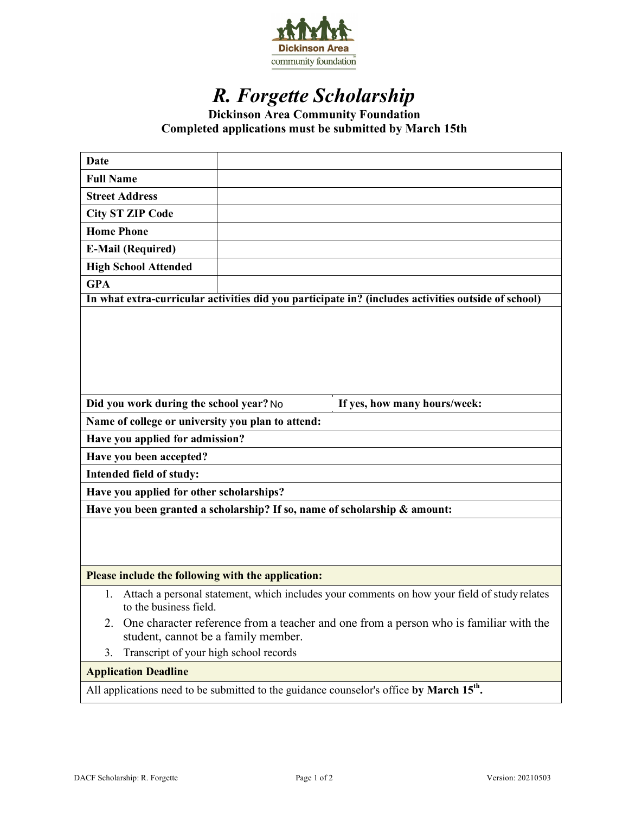

# *R. Forgette Scholarship*

**Dickinson Area Community Foundation Completed applications must be submitted by March 15th**

| <b>Date</b>                                                                                                                        |                                                                                              |  |
|------------------------------------------------------------------------------------------------------------------------------------|----------------------------------------------------------------------------------------------|--|
| <b>Full Name</b>                                                                                                                   |                                                                                              |  |
| <b>Street Address</b>                                                                                                              |                                                                                              |  |
| <b>City ST ZIP Code</b>                                                                                                            |                                                                                              |  |
| <b>Home Phone</b>                                                                                                                  |                                                                                              |  |
| <b>E-Mail (Required)</b>                                                                                                           |                                                                                              |  |
| <b>High School Attended</b>                                                                                                        |                                                                                              |  |
| <b>GPA</b>                                                                                                                         |                                                                                              |  |
| In what extra-curricular activities did you participate in? (includes activities outside of school)                                |                                                                                              |  |
|                                                                                                                                    |                                                                                              |  |
| Did you work during the school year? No<br>If yes, how many hours/week:                                                            |                                                                                              |  |
| Name of college or university you plan to attend:                                                                                  |                                                                                              |  |
| Have you applied for admission?                                                                                                    |                                                                                              |  |
| Have you been accepted?                                                                                                            |                                                                                              |  |
| Intended field of study:                                                                                                           |                                                                                              |  |
| Have you applied for other scholarships?                                                                                           |                                                                                              |  |
| Have you been granted a scholarship? If so, name of scholarship & amount:                                                          |                                                                                              |  |
|                                                                                                                                    |                                                                                              |  |
| Please include the following with the application:                                                                                 |                                                                                              |  |
| 1.<br>to the business field.                                                                                                       | Attach a personal statement, which includes your comments on how your field of study relates |  |
| One character reference from a teacher and one from a person who is familiar with the<br>2.<br>student, cannot be a family member. |                                                                                              |  |
| Transcript of your high school records<br>3.                                                                                       |                                                                                              |  |
| <b>Application Deadline</b>                                                                                                        |                                                                                              |  |
| All applications need to be submitted to the guidance counselor's office by March 15 <sup>th</sup> .                               |                                                                                              |  |